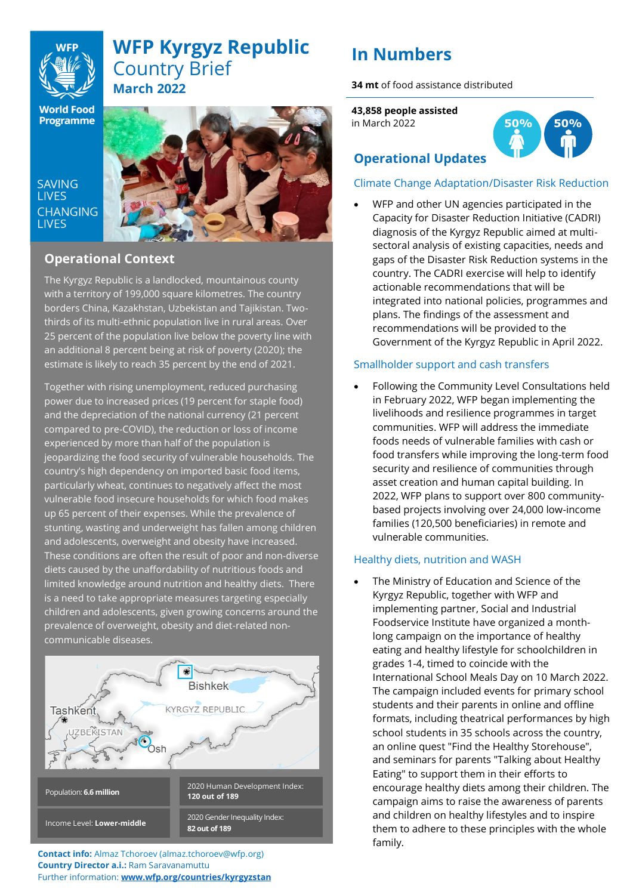## **WFP Kyrgyz Republic** Country Brief **March 2022**

**World Food Programme** 

**SAVING LIVES CHANGING LIVES** 



## **Operational Context**

The Kyrgyz Republic is a landlocked, mountainous county thirds of its multi-ethnic population live in rural areas. Over with a territory of 199,000 square kilometres. The country borders China, Kazakhstan, Uzbekistan and Tajikistan. Two-25 percent of the population live below the poverty line with an additional 8 percent being at risk of poverty (2020); the estimate is likely to reach 35 percent by the end of 2021.

• and adolescents, overweight and obesity have increased. Together with rising unemployment, reduced purchasing power due to increased prices (19 percent for staple food) and the depreciation of the national currency (21 percent compared to pre-COVID), the reduction or loss of income experienced by more than half of the population is jeopardizing the food security of vulnerable households. The country's high dependency on imported basic food items, particularly wheat, continues to negatively affect the most vulnerable food insecure households for which food makes up 65 percent of their expenses. While the prevalence of stunting, wasting and underweight has fallen among children These conditions are often the result of poor and non-diverse diets caused by the unaffordability of nutritious foods and limited knowledge around nutrition and healthy diets. There is a need to take appropriate measures targeting especially children and adolescents, given growing concerns around the prevalence of overweight, obesity and diet-related noncommunicable diseases.



**Contact info:** Almaz Tchoroev (almaz.tchoroev@wfp.org) **Country Director a.i.:** Ram Saravanamuttu Further information: **[www.wfp.org/countries/kyrgyzstan](http://www.wfp.org/countries/kyrgyzstan)**

# **In Numbers**

**34 mt** of food assistance distributed

**43,858 people assisted** in March 2022



## **Operational Updates**

## Climate Change Adaptation/Disaster Risk Reduction

• WFP and other UN agencies participated in the Capacity for Disaster Reduction Initiative (CADRI) diagnosis of the Kyrgyz Republic aimed at multisectoral analysis of existing capacities, needs and gaps of the Disaster Risk Reduction systems in the country. The CADRI exercise will help to identify actionable recommendations that will be integrated into national policies, programmes and plans. The findings of the assessment and recommendations will be provided to the Government of the Kyrgyz Republic in April 2022.

### Smallholder support and cash transfers

• Following the Community Level Consultations held in February 2022, WFP began implementing the livelihoods and resilience programmes in target communities. WFP will address the immediate foods needs of vulnerable families with cash or food transfers while improving the long-term food security and resilience of communities through asset creation and human capital building. In 2022, WFP plans to support over 800 communitybased projects involving over 24,000 low-income families (120,500 beneficiaries) in remote and vulnerable communities.

### Healthy diets, nutrition and WASH

The Ministry of Education and Science of the Kyrgyz Republic, together with WFP and implementing partner, Social and Industrial Foodservice Institute have organized a monthlong campaign on the importance of healthy eating and healthy lifestyle for schoolchildren in grades 1-4, timed to coincide with the International School Meals Day on 10 March 2022. The campaign included events for primary school students and their parents in online and offline formats, including theatrical performances by high school students in 35 schools across the country, an online quest "Find the Healthy Storehouse", and seminars for parents "Talking about Healthy Eating" to support them in their efforts to encourage healthy diets among their children. The campaign aims to raise the awareness of parents and children on healthy lifestyles and to inspire them to adhere to these principles with the whole family.